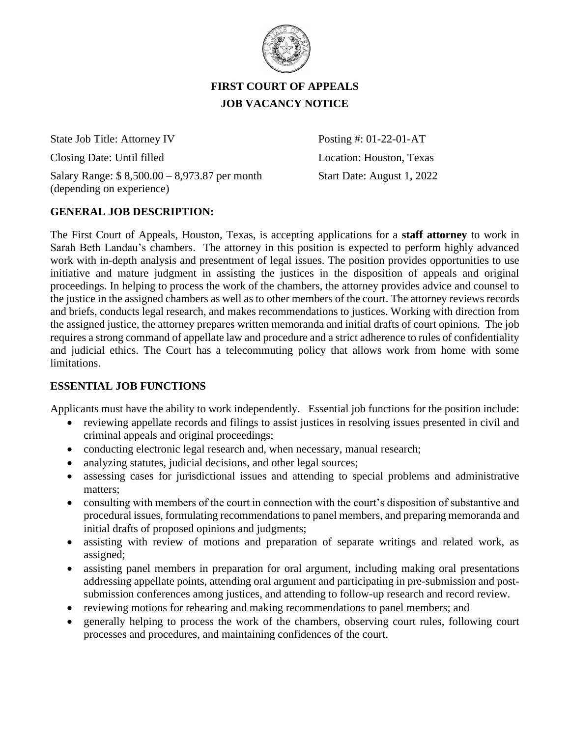

## **FIRST COURT OF APPEALS JOB VACANCY NOTICE**

State Job Title: Attorney IV Posting #: 01-22-01-AT Closing Date: Until filled Location: Houston, Texas Salary Range: \$ 8,500.00 – 8,973.87 per month Start Date: August 1, 2022 (depending on experience)

## **GENERAL JOB DESCRIPTION:**

The First Court of Appeals, Houston, Texas, is accepting applications for a **staff attorney** to work in Sarah Beth Landau's chambers. The attorney in this position is expected to perform highly advanced work with in-depth analysis and presentment of legal issues. The position provides opportunities to use initiative and mature judgment in assisting the justices in the disposition of appeals and original proceedings. In helping to process the work of the chambers, the attorney provides advice and counsel to the justice in the assigned chambers as well as to other members of the court. The attorney reviews records and briefs, conducts legal research, and makes recommendations to justices. Working with direction from the assigned justice, the attorney prepares written memoranda and initial drafts of court opinions. The job requires a strong command of appellate law and procedure and a strict adherence to rules of confidentiality and judicial ethics. The Court has a telecommuting policy that allows work from home with some limitations.

## **ESSENTIAL JOB FUNCTIONS**

Applicants must have the ability to work independently. Essential job functions for the position include:

- reviewing appellate records and filings to assist justices in resolving issues presented in civil and criminal appeals and original proceedings;
- conducting electronic legal research and, when necessary, manual research;
- analyzing statutes, judicial decisions, and other legal sources;
- assessing cases for jurisdictional issues and attending to special problems and administrative matters;
- consulting with members of the court in connection with the court's disposition of substantive and procedural issues, formulating recommendations to panel members, and preparing memoranda and initial drafts of proposed opinions and judgments;
- assisting with review of motions and preparation of separate writings and related work, as assigned;
- assisting panel members in preparation for oral argument, including making oral presentations addressing appellate points, attending oral argument and participating in pre-submission and postsubmission conferences among justices, and attending to follow-up research and record review.
- reviewing motions for rehearing and making recommendations to panel members; and
- generally helping to process the work of the chambers, observing court rules, following court processes and procedures, and maintaining confidences of the court.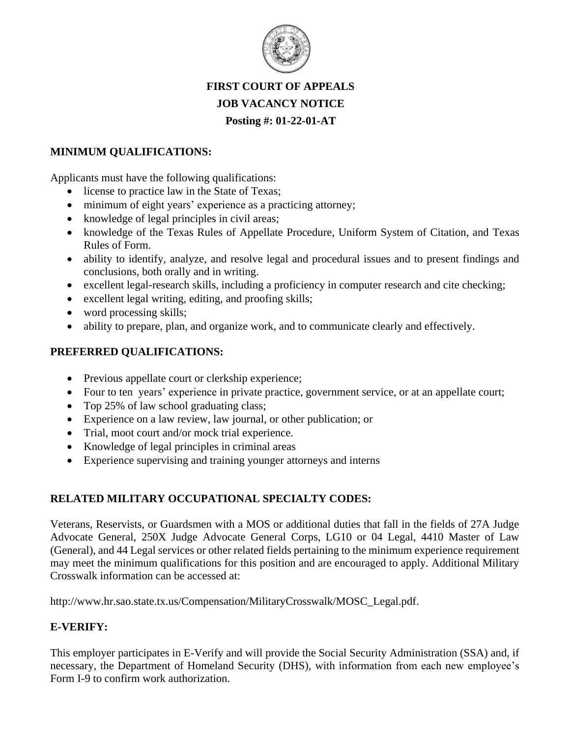

# **FIRST COURT OF APPEALS JOB VACANCY NOTICE Posting #: 01-22-01-AT**

## **MINIMUM QUALIFICATIONS:**

Applicants must have the following qualifications:

- license to practice law in the State of Texas;
- minimum of eight years' experience as a practicing attorney;
- knowledge of legal principles in civil areas;
- knowledge of the Texas Rules of Appellate Procedure, Uniform System of Citation, and Texas Rules of Form.
- ability to identify, analyze, and resolve legal and procedural issues and to present findings and conclusions, both orally and in writing.
- excellent legal-research skills, including a proficiency in computer research and cite checking;
- excellent legal writing, editing, and proofing skills;
- word processing skills;
- ability to prepare, plan, and organize work, and to communicate clearly and effectively.

## **PREFERRED QUALIFICATIONS:**

- Previous appellate court or clerkship experience;
- Four to ten years' experience in private practice, government service, or at an appellate court;
- Top 25% of law school graduating class;
- Experience on a law review, law journal, or other publication; or
- Trial, moot court and/or mock trial experience.
- Knowledge of legal principles in criminal areas
- Experience supervising and training younger attorneys and interns

## **RELATED MILITARY OCCUPATIONAL SPECIALTY CODES:**

Veterans, Reservists, or Guardsmen with a MOS or additional duties that fall in the fields of 27A Judge Advocate General, 250X Judge Advocate General Corps, LG10 or 04 Legal, 4410 Master of Law (General), and 44 Legal services or other related fields pertaining to the minimum experience requirement may meet the minimum qualifications for this position and are encouraged to apply. Additional Military Crosswalk information can be accessed at:

[http://www.hr.sao.state.tx.us/Compensation/MilitaryCrosswalk/MOSC\\_Legal.pdf.](http://www.hr.sao.state.tx.us/Compensation/MilitaryCrosswalk/MOSC_Legal.pdf)

## **E-VERIFY:**

This employer participates in E-Verify and will provide the Social Security Administration (SSA) and, if necessary, the Department of Homeland Security (DHS), with information from each new employee's Form I-9 to confirm work authorization.